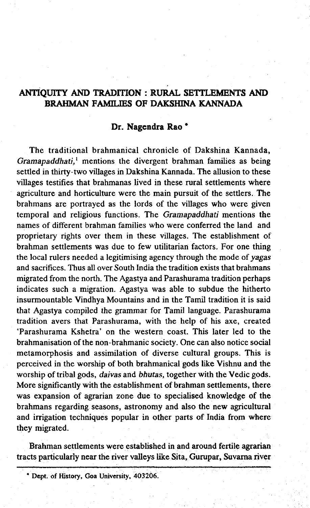# **ANTIQUITY AND TRADITION : RURAL SETTLEMENTS AND BRAHMAN FAMILIES OF DAKSHINA KANNADA**

## **Dr. Nagendra Rao \***

The traditional brahmanical chronicle of Dakshina Kannada, *Gramapaddhati,1* mentions the divergent brahman families as being settled in thirty-two villages in Dakshina Kannada. The allusion to these villages testifies that brahmanas lived in these rural settlements where agriculture and horticulture were the main pursuit of the settlers. The brahmans are portrayed as the lords of the villages who were given temporal and religious functions. The *Gramapaddhati* mentions the names of different brahman families who were conferred the land and proprietary rights over them in these villages. The establishment of brahman settlements was due to few utilitarian factors. For one thing the local rulers needed a legitimising agency through the mode of *yagas* and sacrifices. Thus all over South India the tradition exists that brahmans migrated from the north. The Agastya and Parashurama tradition perhaps indicates such a migration. Agastya was able to subdue the hitherto insurmountable Vindhya Mountains and in the Tamil tradition it is said that Agastya compiled the grammar for Tamil language. Parashurama tradition avers that Parashurama, with the help of his axe, created 'Parashurama Kshetra' on the western coast. This later led to the brahmanisation of the non-brahmanic society. One can also notice social metamorphosis and assimilation of diverse cultural groups. This is perceived in the worship of both brahmanical gods like Vishnu and the worship of tribal gods, *daivas* and *bhutas,* together with the Vedic gods. More significantly with the establishment of brahman settlements, there was expansion of agrarian zone due to specialised knowledge of the brahmans regarding seasons, astronomy and also the new agricultural and irrigation techniques popular in other parts of India from where they migrated.

Brahman settlements were established in and around fertile agrarian tracts particularly near the river valleys like Sita, Gurupar, Suvarna river

<sup>\*</sup> Dept, of History, Goa University, 403206.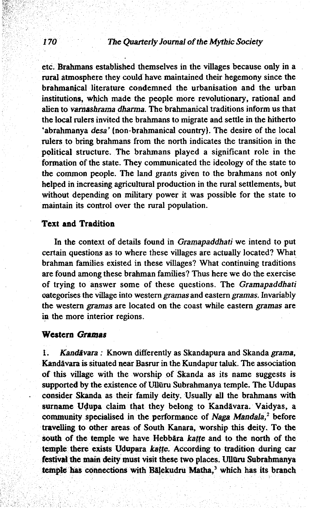## The Quarterly Journal of the Mythic Society

etc. Brahmans established themselves in the villages because only in a rural atmosphere they could have maintained their hegemony since the brahmanical literature condemned the urbanisation and the urban institutions, which made the people more revolutionary, rational and alien to *vamashrama dharma.* The brahmanical traditions inform us that the local rulers invited the brahmans to migrate and settle in the hitherto 'abrahmanya *desa'* {non-brahmanical country). The desire of the local rulers to bring brahmans from the north indicates the transition in the political structure. The brahmans played a significant role in the formation of the state. They communicated the ideology of the state to the common people. The land grants given to the brahmans not only helped in increasing agricultural production in the rural settlements, but without depending on military power it was possible for the state to maintain its control over the rural population.

### **Text and Tradition**

In the context of details found in *Gramapaddhati* we intend to put certain questions as to where these villages are actually located? What brahman families existed in these villages? What continuing traditions are found among these brahman families? Thus here we do the exercise of trying to answer some of these questions. The *Gramapaddhati* categorises the village into western *gramas* and eastern *gramas.* Invariably the western gramas are located on the coast while eastern *gramas* are in the more interior regions.

#### **Westers** *Gramas*

I. *Kandavara :* Known differently as Skandapura and Skanda *grama,* Kandavara is situated near Basrur in the Kundapur taluk. The association of this village with the worship of Skanda as its name suggests is supported by the existence of Ulluru Subrahmanya temple. The Udupas consider Skanda as their family deity. Usually all the brahmans with surname Udupa claim that they belong to Kandāvara. Vaidyas, a community specialised in the performance of *Naga Mandala,2* before travelling to other areas of South Kanara, worship this deity. To the south of the temple we have Hebbara *katte* and to the north of the temple there exists Udupara *katte.* According to tradition during car festival the main deity must visit these two places. Ulluru Subrahmanya temple has connections with Balekudru Matha,<sup>3</sup> which has its branch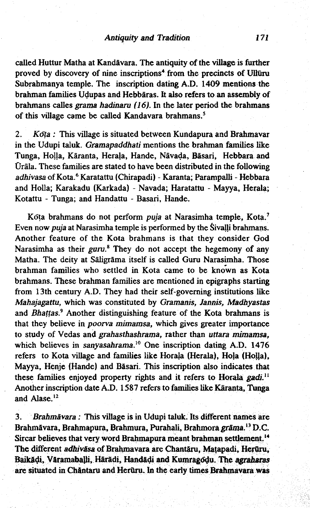called Huttur Matha at Kandavara. The antiquity of the village is further proved by discovery of nine inscriptions<sup>4</sup> from the precincts of Ulluru Subrahmanya temple. The inscription dating A.D. 1409 mentions the brahman families Udupas and Hebbaras. It also refers to an assembly of brahmans calles *grama hadinaru (16),* In the later period the brahmans of this village came be called Kandavara brahmans.<sup>5</sup>

2. *Kota :* This village is situated between Kundapura and Brahmavar in the Udupi taluk. *Gramapaddhati* mentions the brahman families like Tunga, Holla, Kāranta, Herala, Hande, Nāvada, Bāsari, Hebbara and Orala. These families are stated to have been distributed in the following *adhivasa* of Kota.6 Karatattu (Chirapadi) - Karanta; Parampalli - Hebbara and Holla; Karakadu (Karkada) - Navada; Haratattu - Mayya, Herala; Kotattu - Tunga; and Handattu - Basari, Hande.

Kota brahmans do not perform *puja* at Narasimha temple, Kota.7 Even now *puja* at Narasimha temple is performed by the Sivalli brahmans. Another feature of the Kota brahmans is that they consider God Narasimha as their *guru*.<sup>8</sup> They do not accept the hegemony of any Matha. The deity at Saligrama itself is called Guru Narasimha. Those brahman families who settled in Kota came to be known as Kota brahmans. These brahman families are mentioned in epigraphs starting from 13th century A.D. They had their self-governing institutions like *Mahajagattu,* which was constituted by *Gramanis, Jannis, Madhyastas* and *Bhattas.9* Another distinguishing feature of the Kota brahmans is that they believe in *poorva mimamsa,* which gives greater importance to study of Vedas and *grahasthashrama,* rather than *uttara mimamsa,* which believes in *sanyasahrama.10* One inscription dating A.D. 1476 refers to Kota village and families like Horala (Herala), Hola (Holla), Mayya, Henje (Hande) and Basari. This inscription also indicates that these families enjoyed property rights and it refers to Horala *gadi.*<sup>11</sup> Another inscription date A.D. 1587 refers to families like Karanta, Tunga and Alase. $12$ 

3. *Brahmavara:* This village is in Udupi taluk. Its different names are Brahmavara, Brahmapura, Brahmura, Purahali, Brahmora *grama.*13 D.C. Sircar believes that very word Brahmapura meant brahman settlement.<sup>14</sup> The different *adhivāsa* of Brahmavara are Chantāru, Matapadi, Herūru, Baik&\$, Varamabajli, Haradi, Handadi and Kumrago^u. The *agraharas* are situated in Ch&ntaru and Heruru. In the early times Brahmavara was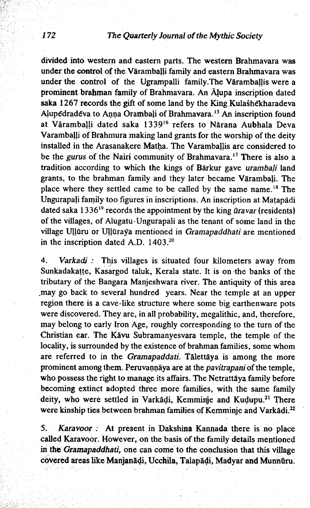divided into western and eastern parts. The western Brahmavara was under the control of the Varamballi family and eastern Brahmavara was under the control of the Ugrampalli family .The Varamballis were a prominent brahman family of Brahmavara. An Alupa inscription dated saka 1267 records the gift of some land by the King Kulashekharadeva Alupedradeva to Anna Grambaji of Brahmavara.15 An inscription found at Varamballi dated saka 133916 refers to Narana Aubhala Deva Varamba|li of Brahmura making land grants for the worship of the deity installed in the Arasanakere Matha. The Varamballis are considered to be the *gurus* of the Nairi community of Brahmavara.'7 There is also a tradition according to which the kings of Barkur gave *urambali* land grants, to the brahman family and they later became Varambali. The place where they settled came to be called by the same name.18 The Ungurapali family too figures in inscriptions. An inscription at Matapadi dated saka 133619 records the appointment by the king *uravar* (residents) of the villages, of Alugatu-Ungurapali as the tenant of some land in the village Ulluru or Ulluraya mentioned in *Gramapaddhati* are mentioned in the inscription dated A.D. 1403.20

4. *Varkadi* : This villages is situated four kilometers away from Sunkadakatte, Kasargod taluk, Kerala state. It is on the banks of the tributary of the Bangara Manjeshwara river. The antiquity of this area .may go back to several hundred years. Near the temple at an upper region there is a cave-like structure where some big earthenware pots were discovered. They are, in all probability, megalithic, and, therefore, may belong to early Iron Age, roughly corresponding to the turn of the Christian ear. The Kavu Subramanyesvara temple, the temple of the locality, is surrounded by the existence of brahman families, some whom are referred to in the *Gramapaddati.* Talettaya is among the more prominent among them. Peruvannaya are at the *pavitrapani* of the temple, who possess the right to manage its affairs. The Netrattaya family before becoming extinct adopted three more families, with the same family deity, who were settled in Varkādi, Kemminje and Kudupu.<sup>21</sup> There were kinship ties between brahman families of Kemminje and Varkādi.<sup>22</sup>

5. *Karavoor :* At present in Dakshina Kannada there is no place called Karavoor. However, on the basis of the family details mentioned in the *Gramapaddhati,* one can come to the conclusion that this village covered areas like Manjanādi, Ucchila, Talapādi, Madyar and Munnūru.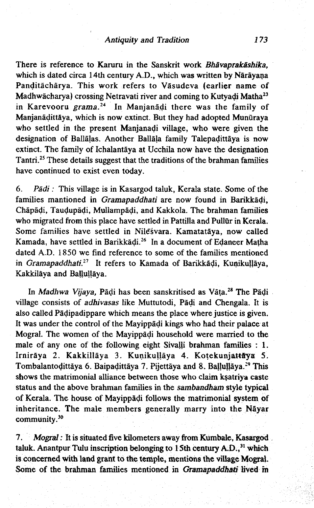There is reference to Karuru in the Sanskrit work *Bhavaprakashika,* which is dated circa 14th century A.D., which was written by Nārāyana Panditāchārya. This work refers to Vāsudeva (earlier name of Madhwacharya) crossing Netravati river and coming to Kutyadi Matha23 in Karevooru *grama.*<sup>24</sup> In Manjanadi there was the family of Manjanādittāya, which is now extinct. But they had adopted Munūraya who settled in the present Manjanadi village, who were given the designation of Ballalas. Another Ballala family Talepadittaya is now extinct. The family of Ichalantaya at Ucchila now have the designation Tantri.<sup>25</sup> These details suggest that the traditions of the brahman families have continued to exist even today.

6. *Padi:* This village is in Kasargod taluk, Kerala state. Some of the families mantioned in *Gramapaddhati* are now found in Barikkadi, Chapadi, Taudupadi, Mullampadi, and Kakkola. The brahman families who migrated from this place have settled in Pattilla and Pullūr in Kerala. Some families have settled in Nilesvara. Kamatatāya, now called Kamada, have settled in Barikkadi.<sup>26</sup> In a document of Edaneer Matha dated A.D. 1850 we find reference to some of the families mentioned in *Gramapaddhati.21* It refers to Kamada of Barikkadi, Kunikullaya, Kakkilaya and Ballullaya.

In *Madhwa Vijaya*, Pādi has been sanskritised as Vāta.<sup>28</sup> The Pādi village consists of *adhivasas* like Muttutodi, Padi and Chengala. It is also called Padipadippare which means the place where justice is given. It was under the control of the Mayippadi kings who had their palace at Mogral. The women of the Mayippadi household were married to the male of any one of the following eight Sivalli brahman families : 1. Irnirāya 2. Kakkillāya 3. Kunikuļļāya 4. Kotekunjattāya 5. Tombalantodittāya 6. Baipadittāya 7. Pijettāya and 8. Baļļuļļāya.<sup>29</sup> This shows the matrimonial alliance between those who claim ksatriya caste status and the above brahman families in the *sambandham* style typical of Kerala. The house of Mayippadi follows the matrimonial system of inheritance. The male members generally marry into the Nayar community.<sup>30</sup>

7. *Mogral:* It is situated five kilometers away from Kumbale, Kasargod taluk. Anantpur Tulu inscription belonging to 15th century A.D.,<sup>31</sup> which is concerned with land grant to the temple, mentions the village Mogral. Some of the brahman families mentioned in Gramapaddhati lived in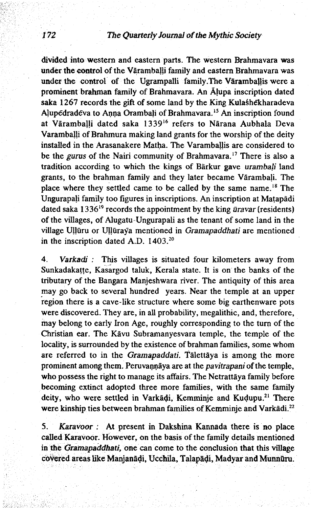divided into western and eastern parts. The western Brahmavara was under the control of the Vāramballi family and eastern Brahmavara was under the control of the Ugrampalli family. The Vāramballis were a prominent brahman family of Brahmavara. An Ajupa inscription dated saka 1267 records the gift of some land by the King Kulashekharadeva Alupedradeva to Anna Orambali of Brahmavara.15 An inscription found at Varamballi dated saka 133916 refers to Narana Aubhala Deva Varamballi of Brahmura making land grants for the worship of the deity installed in the Arasanakere Matha. The Varamballis are considered to be the *gurus* of the Nairi community of Brahmavara.17 There is also a tradition according to which the kings of Barkur gave *urambali* land grants, to the brahman family and they later became Vārambali. The place where they settled came to be called by the same name.18 The Ungurapali family too figures in inscriptions. An inscription at Matapadi dated saka 13 3619 records the appointment by the king *uravar* (residents) of the villages, of Alugatu-Ungurapali as the tenant of some land in the village Ullūru or Ullūraya mentioned in *Gramapaddhati* are mentioned in the inscription dated A.D. 1403.<sup>20</sup>

4. *Varkadi :* This villages is situated four kilometers away from Sunkadakatte, Kasargod taluk, Kerala state. It is on the banks of the tributary of the Bangara Manjeshwara river. The antiquity of this area may go back to several hundred years. Near the temple at an upper region there is a cave-like structure where some big earthenware pots were discovered. They are, in all probability, megalithic, and, therefore, may belong to early Iron Age, roughly corresponding to the turn of the Christian ear. The Kavu Subramanyesvara temple, the temple of the locality, is surrounded by the existence of brahman families, some whom are referred to in the *Gramapaddati.* Talettaya is among the more prominent among them. Peruvannaya are at the *pavitrapani* of the temple, who possess the right to manage its affairs. The Netrattaya family before becoming extinct adopted three more families, with the same family deity, who were settled in Varkādi, Kemminje and Kudupu.<sup>21</sup> There were kinship ties between brahman families of Kemminje and Varkadi.22

5. *Karavoor :* At present in Dakshina Kannada there is no place called Karavoor. However, on the basis of the family details mentioned in the *Gramapaddhati,* one can come to the conclusion that this village covered areas like Manjanadi, Ucchila, Talapadi, Madyar and Munnflru.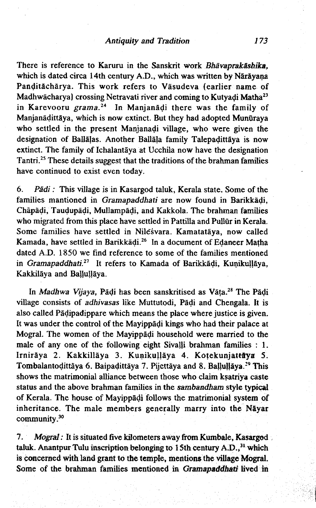There is reference to Karuru in the Sanskrit work *Bhavaprak&shika,* which is dated circa 14th century A.D., which was written by Nārāyana Panditacharya. This work refers to Vasudeva (earlier name of Madhwācharya) crossing Netravati river and coming to Kutyadi Matha<sup>23</sup> in Karevooru *grama.1\** In Manjanadi there was the family of Manjanāḍittāya, which is now extinct. But they had adopted Munūraya who settled in the present Manjanadi village, who were given the designation of Ballāļas. Another Ballāļa family Talepadittāya is now extinct. The family of Ichalantaya at Ucchila now have the designation Tantri.<sup>25</sup> These details suggest that the traditions of the brahman families have continued to exist even today.

6. *Padi:* This village is in Kasargod taluk, Kerala state. Some of the families mantioned in *Gramapaddhati* are now found in Barikkadi, Chapadi, Taudupadi, Mullampadi, and Kakkola. The brahman families who migrated from this place have settled in Pattilla and Pullur in Kerala. Some families have settled in Nilesvara. Kamatatāya, now called Kamada, have settled in Barikkadi.26 In a document of Edaneer Matha dated A,D. 1850 we find reference to some of the families mentioned in *Gramapaddhati.21* It refers to Kamada of Barikkadi, Kunikullaya, Kakkilāya and Ballullāya.

In *Madhwa Vijaya,* Padi has been sanskritised as Vata.28 The Padi village consists of *adhivasas* like Muttutodi, Padi and Chengala. It is also called Padipadippare which means the place where justice is given. It was under the control of the Mayippadi kings who had their palace at Mogral. The women of the Mayippadi household were married to the male of any one of the following eight Sivalli brahman families : 1. Irnirāya 2. Kakkillāya 3. Kunikuļļāya 4. Kotekunjattāya 5. Tombalantodittāya 6. Baipadittāya 7. Pijettāya and 8. Ballullāya.<sup>39</sup> This shows the matrimonial alliance between those who claim ksatriya caste status and the above brahman families in the *sambandham* style typical of Kerala. The house of Mayippadi follows the matrimonial system of inheritance. The male members generally marry into the Nayar community.30

7. *Mogral:* It is situated five kilometers away from Kumbale, Kasargod taluk. Anantpur Tulu inscription belonging to 15th century A.D.,<sup>31</sup> which is concerned with land grant to the temple, mentions the village Mogral. Some of the brahman families mentioned in *Gramapaddhati* lived m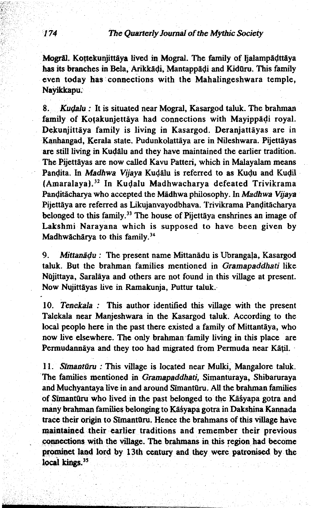Mogral. Kottekunjittaya lived in Mogral. The family of Ijalampadttaya has its branches in Bela, Arikkadi, Mantappadi and Kiduru. This family even today has connections with the Mahalingeshwara temple, Nayikkapu.

8. *Kudalu :* It is situated near Mogral, Kasargod taluk. The brahman family of Kotakunjettāya had connections with Mayippadi royal. Dekunjittāya family is living in Kasargod. Deranjattāyas are in Kanhangad, Kerala state. Pudunkolattaya are in Nileshwara. Pijettayas are still living in Kudalu and they have maintained the earlier tradition. The Pijettāyas are now called Kavu Patteri, which in Malayalam means Pandita. In *Madhwa Vijaya* Kudalu is referred to as Kudu and Kudil (Amaralaya).32 In Kudalu Madhwacharya defeated Trivikrama Panditacharya who accepted the Madhwa philosophy. In *Madhwa Vijaya* Pijettaya are referred as Likujanvayodbhava. Trivikrama Panditacharya belonged to this family.<sup>33</sup> The house of Pijettāya enshrines an image of Lakshmi Narayana which is supposed to have been given by Madhwāchārya to this family.<sup>34</sup>

9. *Mittanadu :* The present name Mittanadu is Ubrangala, Kasargod taluk. But the brahman families mentioned in *Gramapaddhati* like Nujittaya, Saralaya and others are not found in this village at present. Now Nujittayas live in Ramakunja, Puttur taluk.

10. *Tenekala :* This author identified this village with the present Talekala near Manjeshwara in the Kasargod taluk. According to the local people here in the past there existed a family of Mittantaya, who now live elsewhere. The only brahman family living in this place are Permudannaya and they too had migrated from Permuda near Katil.

11. *Simanturu :* This village is located near Mulki, Mangalore taluk. The families mentioned in *Gramapaddhati,* Simanturaya, Shibaruraya and Muchyantaya live in and around Simantūru. All the brahman families of Simantūru who lived in the past belonged to the Kāsyapa gotra and many brahman families belonging to Kafyapa gotra in Dakshina Kannada trace their origin to Simanturu. Hence the brahmans of this village have maintained their earlier traditions and remember their previous connections with the village. The brahmans in this region had become prominet land lord by 13th century and they were patronised by the local kings.<sup>35</sup>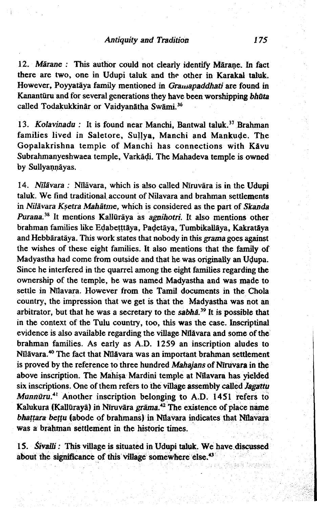12. *Märane* : This author could not clearly identify Märane. In fact there are two, one in Udupi taluk and the other in Karakal taluk. However, Poyyataya family mentioned in *Graumpaddhati* are found in Kanantūru and for several generations they have been worshipping *bhūta* called Todakukkinär or Vaidvanätha Swämi.<sup>36</sup>

13. *Kolavinadu :* It is found near Manchi, Bantwal taluk.<sup>37</sup> Brahman families lived in Saletore, Sullya, Manchi and Mankude. The Gopalakrishna temple of Manchi has connections with Kavu Subrahmanyeshwaea temple, Varkadi. The Mahadeva temple is owned by Sullyannävas.

14. *Nīlāvara : Nīlāvara*, which is also called Nīruvāra is in the Udupi taluk. We find traditional account of Nilavara and brahman settlements in *Nilavara Ksetra Mahatme,* which is considered as the part of *Skanda Purana?*8 It mentions Kalluraya as *agnihotri.* It also mentions other brahman families like Edabetttaya, Padetaya, Tumbikallaya, Kakrataya and Hebbarataya. This work states that nobody in this *grama* goes against the wishes of these eight families. It also mentions that the family of Madyastha had come from outside and that he was originally an Udupa. Since he interfered in the quarrel among the eight families regarding the ownership of the temple, he was named Madyastha and was made to settle in Nilavara. However from the Tamil documents in the Chola country, the impression that we get is that the Madyastha was not an arbitrator, but that he was a secretary to the *sabha*.<sup>39</sup> It is possible that in the context of the Tulu country, too, this was the case. Inscriptinal evidence is also available regarding the village Nilavara and some of the brahman families. As early as A.D. 1259 an inscription aludes to Nilavara.40 The fact that Nilavara was an important brahman settlement is proved by the reference to three hundred *Mahajans* of Niruvara in the above inscription. The Mahisa Mardini temple at Nilavara has yielded six inscriptions. One of them refers to the village assembly called *Jagattu Munnūru.*<sup>41</sup> Another inscription belonging to A.D. 1451 refers to Kalukura (Kalluraya) in Niruvara *grama.42* The existence of place name *bhattara bettu* (abode of brahmans) in Nilavara indicates that Nilavara was a brahman settlement in the historic times.

15. *Sivalli:* This village is situated in Udupi taluk. We have discussed about the significance of this village somewhere else.<sup>43</sup>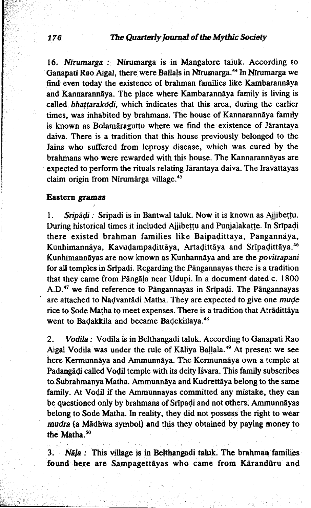16. *Nlrumarga :* Nfrumarga is in Mangalore taluk. According to Ganapati Rao Aigal, there were Ballals in Nīrumarga.<sup>44</sup> In Nīrumarga we find even today the existence of brahman families like Kambarannaya and Kannarannaya. The place where Kambarannaya family is living is called *bhattarakodi,* which indicates that this area, during the earlier times, was inhabited by brahmans. The house of Kannarannaya family is known as Bolamaraguttu where we find the existence of Jarantaya daiva. There is a tradition that this house previously belonged to the Jains who suffered from leprosy disease, which was cured by the brahmans who were rewarded with this house. The Kannarannayas are expected to perform the rituals relating Jarantaya daiva. The Iravattayas claim origin from Nīrumārga village.<sup>45</sup>

#### **Eastern** *gramas*

1. *Sripadi :* Sripadi is in Bantwal taluk. Now it is known as Ajjibettu. During historical times it included Ajjibettu and Punjalakatte. In Sripadi there existed brahman families like Baipadittaya, Pangannaya, Kunhimannaya, Kavudampadittaya, Artadittaya and Sripadittaya.46 Kunhimannayas are now known as Kunhannaya and are the *povitrapani* for all temples in Sripadi. Regarding the Pangannayas there is a tradition that they came from Pangala near Udupi. In a document dated c. 1800 A.D.47 we find reference to Pangannayas in Sripadi. The Pangannayas are attached to Nadvantadi Matha. They are expected to give one *mude* rice to Sode Matha to meet expenses. There is a tradition that Atradittaya went to Badakkila and became Badekillaya.<sup>48</sup>

2. *Vodila:* Vodila is in Belthangadi taluk. According to Ganapati Rao Aigal Vodila was under the rule of Kāliya Baļļala.<sup>49</sup> At present we see here Kermunnaya and Ammunnaya. The Kermunnaya own a temple at Padangadi called Vodil temple with its deity Isvara. This family subscribes to Subrahmanya Matha. Ammunnaya and Kudrettaya belong to the same family. At Vodil if the Ammunnayas committed any mistake, they can be questioned only by brahmans of Sripadi and not others. Ammunnayas belong to Sode Matha. In reality, they did not possess the right to wear *mudra* (a Madhwa symbol) and this they obtained by paying money to the Matha.<sup>50</sup>

3. Nāļa : This village is in Belthangadi taluk. The brahman families found here are Sampagettayas who came from Karandūru and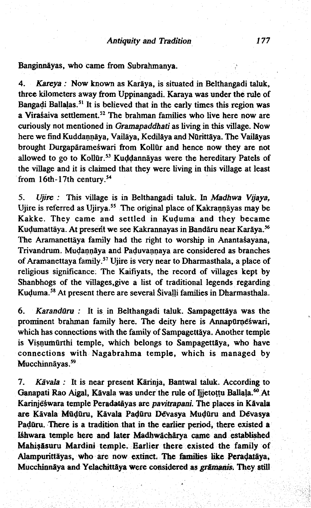Banginnayas, who came from Subrahmanya. ,

4. *Kareya:* Now known as Karaya, is situated in Belthangadi taluk, three kilometers away from Uppinangadi. Karaya was under the rule of Bangadi Ballalas.<sup>51</sup> It is believed that in the early times this region was a Virasaiva settlement.<sup>52</sup> The brahman families who live here now are curiously not mentioned in *Gramapaddhati* as living in this village. Now here we find Kuddannāya, Vailāya, Kedilāya and Nürittāya. The Vailāyas brought Durgaparameswari from Kollur and hence now they are not allowed to go to Kollūr.<sup>53</sup> Kuddannāyas were the hereditary Patels of the village and it is claimed that they were living in this village at least from 16th-17th century.54

5. *Ujire :* This village is in Belthangadi taluk. In *Madhwa Vijaya,* Ujire is referred as Ujirya.<sup>55</sup> The original place of Kakrannāyas may be Kakke. They came and settled in Kuduma and they became Kudumattāya. At present we see Kakrannayas in Bandāru near Karāya.<sup>56</sup> The Aramanettāya family had the right to worship in Anantasayana, Trivandrum. Mudannaya and Paduvannaya are considered as branches of Aramanettaya family.57 Ujire is very near to Dharmasthala, a place of religious significance. The Kaifiyats, the record of villages kept by Shanbhogs of the villages,give a list of traditional legends regarding Kuduma.<sup>58</sup> At present there are several Sivalli families in Dharmasthala.

6. *Karanduru :* It is in Belthangadi taluk. Sampagettaya was the prominent brahman family here. The deity here is Annapurneswari, which has connections with the family of Sampagettaya. Another temple is Visnumurthi temple, which belongs to Sampagettäya, who have connections with Nagabrahma temple, which is managed by Mucchinnäyas.<sup>59</sup>

7. *Kavala :* It is near present Karinja, Bantwal taluk. According to Ganapati Rao Aigal, Kāvala was under the rule of Ijjetottu Ballala.<sup>60</sup> At Karinjeswara temple Peradatayas are *pavitrapani.* The places in Kavala are Kavala Muduru, Kavala Paduru Devasya Muduru and Devasya Padūru. There is a tradition that in the earlier period, there existed a I&hwara temple here and later Madhwacharya came and established Mahisasuru Mardini temple. Earlier there existed the family of Alampurittayas, who are now extinct. The families like Peradataya, Mucchinnāya and Yelachittāya were considered as *grāmanis*. They still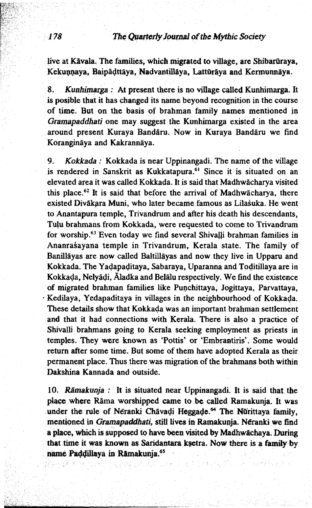live at Kävala. The families, which migrated to village, are Shibarūraya, Kekunnaya, Baipadttaya, Nadvantillaya, Latturaya and Kermunnaya.

8. *Kunhimarga :* At present there is no village called Kunhimarga. It is posible that it has changed its name beyond recognition in the course of time. But on the basis of brahman family names mentioned in *Gramapaddhati* one may suggest the Kunhimarga existed in the area around present Kuraya Bandaru. Now in Kuraya Bandaru we find Koranginaya and Kakrannaya.

9. *Kokkada :* Kokkada is near Uppinangadi. The name of the village is rendered in Sanskrit as Kukkatapura.<sup>61</sup> Since it is situated on an elevated area it was called Kokkada. It is said that Madhwacharya visited this place.<sup>62</sup> It is said that before the arrival of Madhwācharya, there existed Divakara Muni, who later became famous as Lilasuka. He went to Anantapura temple, Trivandrum and after his death his descendants, Tulu brahmans from Kokkada, were requested to come to Trivandrum for worship.<sup>63</sup> Even today we find several Shivalli brahman families in Ananrasayana temple in Trivandrum, Kerala state. The family of Banillayas are now called Baltillayas and now they live in Upparu and Kokkada. The Yadapaditaya, Sabaraya, Uparanna and Toditillaya are in Kokkada, Nelyadi, Aladka and Belalu respectively. We find the existence of migrated brahman families like Punchittaya, Jogittaya, Parvattaya, · Kedilaya, Yedapaditaya in villages in the neighbourhood of Kokkada. These details show that Kokkada was an important brahman settlement and that it had connections with Kerala. There is also a practice of Shivalli brahmans going to Kerala seeking employment as priests in temples. They were known as 'Pottis' or 'Embrantiris'. Some would return after some time. But some of them have adopted Kerala as their permanent place. Thus there was migration of the brahmans both within Dakshina Kannada and outside.

10. *Ramakunja :* It is situated near Uppinangadi. It is said that the place where Rama worshipped came to be called Ramakunja. It was under the rule of Neranki Chavadi Heggade.<sup>64</sup> The Nurittaya family, mentioned in *Gramapaddhati,* still lives in Ramakunja. Neranki we find a place, which is supposed to have been visited by Madhwachaya. During that time it was known as Saridantara ksetra. Now there is a family by name Paddillaya in Rāmakunja.<sup>65</sup>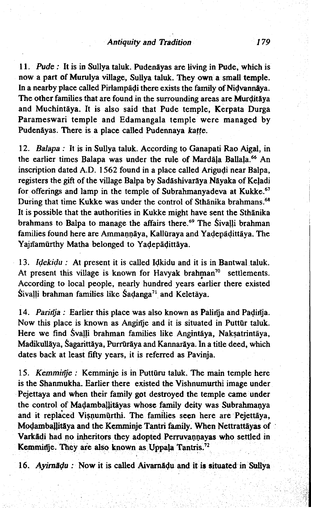I I. *Pude :* It is in Sullya taluk. Pudenayas are living in Pude, which is now a part of Murulya village, Sullya taluk. They own a small temple. In a nearby place called Pirlampadi there exists the family of Nidvannaya. The other families that are found in the surrounding areas are Murditaya and Muchintaya. It is also said that Pude temple, Kerpata Durga Parameswari temple and Edamangala temple were managed by Pudenāyas. There is a place called Pudennaya katte.

12. *Balapa :* It is in Sullya taluk. According to Ganapati Rao Aigal, in the earlier times Balapa was under the rule of Mardala Ballala.<sup>66</sup> An inscription dated A.D. 1562 found in a place called Arigudi near Balpa, registers the gift of the village Balpa by Sadāshivarāya Nāyaka of Keļadi for offerings and lamp in the temple of Subrahmanyadeva at Kukke.<sup>67</sup> During that time Kukke was under the control of Sthanika brahmans.<sup>68</sup> It is possible that the authorities in Kukke might have sent the Sthānika brahmans to Balpa to manage the affairs there.<sup>69</sup> The Sivalli brahman families found here are Ammannāya, Kallūraya and Yadepādittāya. The Yajnamurthy Matha belonged to Yadepadittaya.

13. *Idekidu :* At present it is called Idkidu and it is in Bantwal taluk. At present this village is known for Havyak brahman<sup>70</sup> settlements. According to local people, nearly hundred years earlier there existed Sivalli brahman families like Sadanga<sup>71</sup> and Keletāya.

14. *Parinja :* Earlier this place was also known as Palinja and Padinja. Now this place is known as Anginje and it is situated in Puttūr taluk. Here we find Svalli brahman families like Angintaya, Naksatrintaya, Madikullaya, Sagarittaya, Purruraya and Kannaraya. In a title deed, which dates back at least fifty years, it is referred as Pavinja,

15. *Kemminje :* Kemminje is in Putturu taluk. The main temple here is the Shanmukha. Earlier there existed the Vishnumurthi image under Pejettaya and when their family got destroyed the temple came under the control of Madamballitayas whose family deity was Subrahmanya and it replaced Visnumurthi. The families seen here are Pejettaya, Modamballitāya and the Kemminje Tantri family. When Nettrattāyas of Varkadi had no inheritors they adopted Perruvannayas who settled in Kemminje. They are also known as Uppala Tantris.<sup>72</sup>

16. *Ayim&du :* Now it is called Aivamadu and it is situated in Sullya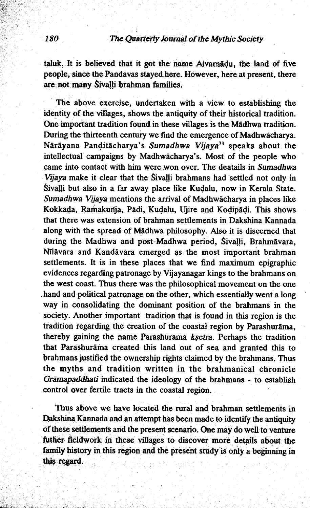taluk. It is believed that it got the name Aivamadu, the land of five people, since the Pandavas stayed here. However, here at present, there are not many Sivalli brahman families.

The above exercise, undertaken with a view to establishing the identity of the villages, shows the antiquity of their historical tradition. One important tradition found in these villages is the Madhwa tradition. During the thirteenth century we find the emergence of Madhwacharya. Narayana Panditacharya's *Sumadhwa Vijaya*73 speaks about the intellectual campaigns by Madhwacharya's. Most of the people who came into contact with him were won over. The deatails in *Sumadhwa Vijaya* make it clear that the Sivalli brahmans had settled not only in Sivalli but also in a far away place like Kudalu, now in Kerala State. *Sumadhwa Vijaya* mentions the arrival of Madhwacharya in places like Kokkada, Ramakurija, Padi, Kudalu, Ujire and Kodipadi. This shows that there was extension of brahman settlements in Dakshina Kannada along with the spread of Madhwa philosophy. Also it is discerned that during the Madhwa and post-Madhwa period, Sivalli, Brahmavara, Nflavara and Kandavara emerged as the most important brahman settlements. It is in these places that we find maximum epigraphic evidences regarding patronage by Vijayanagar kings to the brahmans on the west coast. Thus there was the philosophical movement on the one .hand and political patronage on the other, which essentially went a long way in consolidating the dominant position of the brahmans in the society. Another important tradition that is found in this region is the tradition regarding the creation of the coastal region by Parashurama, thereby gaining the name Parashurama *ksetra.* Perhaps the tradition that Parashurama created this land out of sea and granted this to brahmans justified the ownership rights claimed by the brahmans. Thus the myths and tradition written in the brahmanical chronicle *Gramapaddhati* indicated the ideology of the brahmans - to establish control over fertile tracts in the coastal region.

Thus above we have located the rural and brahman settlements in Dakshina Kannada and an attempt has been made to identify the antiquity of these settlements and the present scenario. One may do well to venture futher fieldwork in these villages to discover more details about the family history in this region and the present study is only a beginning in this regard.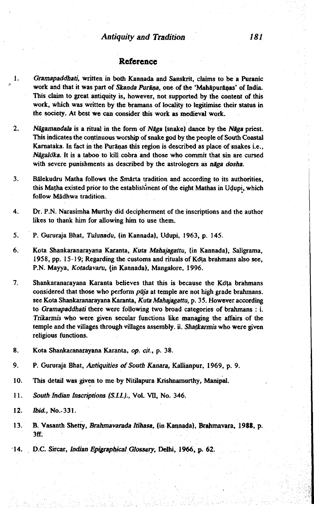#### **Reference**

- 1. *Gramapaddhati,* written in both Kannada and Sanskrit, claims to be a Puranic work and that it was part of *Skanda Purāna*, one of the 'Mahāpurānas' of India. This claim to great antiquity is, however, not supported by the content of this work, which was written by the bramans of locality to legitimise their status in the society. At best we can consider this work as medieval work,
- 2. *Nagamandala* is a ritual in the form of *NSga* (snake) dance by the *NSga* priest. This indicates the continuous worship of snake god by the people of South Coastal Karnataka. In fact in the Purānas this region is described as place of snakes i.e., *Nâgaloka*. It is a taboo to kill cobra and those who commit that sin are cursed with severe punishments as described by the astrologers as *niga dosha.*
- 3. Balekudru Matha follows the Smarta tradition and according to its authorities, this Matha existed prior to the establishment of the eight Mathas in Udupi, which follow Mädhwa tradition.
- 4. Dr. P.N. Narasimha Murthy did decipherment of the inscriptions and the author likes to thank him for allowing him to use them.
- 5. P. Gururaja Bhat, *Tulunadu,* (in Kannada), Udupi, 1963, p. 145.
- 6. Kota Shankaranarayana Karanta, *Kuta Mahajagattu,* (in Kannada), Saligrama, 1958, pp. 15-19; Regarding the customs and rituals of Kota brahmans also see, P.N. Mayya, *Kotadavaru,* (in Kannada), Mangalore, 1996.
- 7. Shankaranarayana Karanta believes that this is because the Kota brahmans considered that those who perform *pūja* at temple are not high grade brahmans. see Kota Shankaranarayana Karanta, *Kuta Mahajagattu,* p. 35. However according to *Gramapaddhati* there were following two broad categories of brahmans : i. *Trikarmis* who were given secular functions like managing the affairs of the temple and the villages through villages assembly, ii. *Shatkarmis* who were given religious functions.
- 8. Kota Shankaranarayana Karanta, *op. cit.,* p. 38.
- 9. P. Gururaja Bhat, *Antiquities of South Kanara*, Kallianpur, 1969, p. 9.
- 10. This detail was given to me by Nitilapura Krishnamurthy, Manipai.
- 11. South Indian Inscriptions (S.I.I.)., Vol. VII, No. 346.
- 12. *Ibid.*, No. 331.
- 13. B. Vasanth Shetty, *Brahmavarada Itihasa,* (in Kannada), Brahmavara, 1988, p. 3ff.
- 14. D.C. Sircar, *Indian Epigraphical Glossary,* Delhi, 1966, p. 62.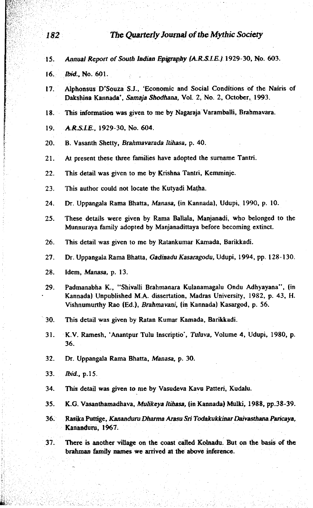- 15. Annual Report of South Indian Epigraphy (A.R.S.I.E.) 1929-30, No. 603.
- 16. *Ibid.,* No. 601.
- 17. Alphonsus D'Souza S.J., 'Economic and Social Conditions of the Nairis of Dakshina Kannada\*, *Samaja Shodhana,* Vol. 2, No. 2, October, 1993.
- 18. This information was given to me by Nagaraja Varamballi, Brahmavara.
- 19 *A.R.S.I.E,* 1929-30, No. 604.
- 20. B. Vasanth Shetty, *Brahmavarada Itihasa,* p. 40.
- 21. At present these three families have adopted the surname Tantri.
- 22. This detail was given to me by Krishna Tantri, Kemminje.
- 23. This author could not locate the Kutyadi Matha.
- 24. Dr. Uppangala Rama Bhatta, *Manasa,* (in Kannada), Udupi, 1990, p. 10.
- 25. These details were given by Rama Ballala, Manjanadi, who belonged to the Munnuraya family adopted by Manjanadittaya before becoming extinct.
- 26. This detail was given to me by Ratankumar Kamada, Barikkadi.
- 27. Dr. Uppangala Rama Bhatta, *Gadinadu Kasaragodu,* Udupi, 1994, pp. 128-130.
- 28. Idem, *Manasa,* p. 13.
- 29. Padmanabha K., "Shivalli Brahmanara Kulanamagalu Ondu Adhyayana" , (in Kannada) Unpublished M.A. dissertation, Madras University, 1982, p. 43, H. Vishnumurthy Rao (Ed.), *Brahmavani,* (in Kannada) Kasargod, p. 56.
- 30. This detail was given by Ratan Kumar Kamada, Barikkadi.
- 31. K.V. Ramesh, 'Anantpur Tulu Inscriptio', *Tuluva,* Volume 4, Udupi, 1980, p. 36.
- 32. Dr. Uppangala Rama Bhatta, *Manasa,* p. 30.
- 33. *Ibid.,* p.15.
- 34. This detail was gjven to me by Vasudeva Kavu Patten, Kudalu.
- 35. K.G. Vasanthamadhava, *Mulikeya Itihasa,* (in Kannada) Mulki, 1988, pp.38-39.
- 36. Rasika Puttige, *Kananduru Dharma Arasu Sri Todakukkinar Daivasthana Paricaya,* Kananduru, 1967.
- 37. There is another village on the coast called Kolnadu. But on the basis of the brahman family names we arrived at the above inference.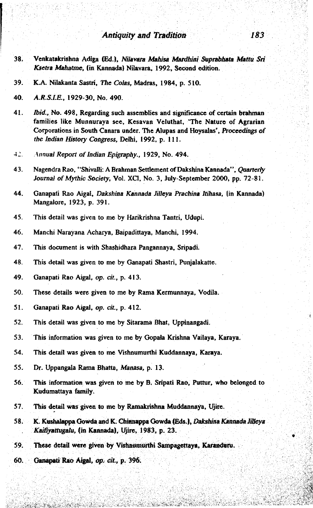- 38. Venkatakrishna Adiga (Ed.), *Nilavara Mahisa Mardhini Suprabhata Mattu Sri Ksetra Mahatme,* (in Kannada) Nilavara, 1992, Second edition.
- 39. K.A. Nilakanta Sastri, *The Colas,* Madras, 1984, p. 510.

- 41. *Ibid.,* No. 498, Regarding such assemblies and significance of certain brahman families like Munnuraya see, Kesavan Veluthat, 'The Nature of Agrarian Corporations in South Canara under. The Alupas and Hoysalas', *Proceedings of the Indian History Congress,* Delhi, 1992, p. 111.
- 42. Annual Report of Indian Epigraphy., 1929, No. 494.
- 43. Nagendra Rao, "Shivalli: A Brahman Settlement of Dakshina Kannada", *Quarterly* Journal of Mythic Society, Vol. XCI, No. 3, July-September 2000, pp. 72-81.
- 44. Ganapati Rao Aigaf, *Dakshina Kannada JUleya Prachiaa Itihasa,* (in Kannada) Mangalore, 1923, p. 391.
- 45. This detail was given to me by Harikrishna Tantri, Udupi.
- 46. Manchi Narayana Acharya, Baipadittaya, Manchi, 1994.
- 47. This document is with Shashidhara Pangannaya, Sripadi.
- 48. This detail was given to me by Ganapati Shastri, Punjalakatte.
- 49. Ganapati Rao Aigal, *op. cit.,* p. 413.
- 50. These details were given to me by Rama Kermunnaya, Vodila.
- 51. Ganapati Rao Aigal, *op. cit.,* p. 412.
- 52. This detail was given to me by Sitarama Bhat, Uppinangadi.
- 53. This information was given to me by Gopala Krishna Vailaya, Karaya.
- 54. This detail was given to me Vishnumurthi Kuddannaya, Karaya.
- 55. Dr. Uppangala Rama Bhatta, *Manasa,* p. 13.
- 56. This information was given to me by B. Sripati Rao, Puttur, who belonged to Kudumattaya family.
- 57. This detail was given to me by Ramakrishna Muddannaya, Ujire.
- 58. K. Kushalappa Gowda send K. Chinnappa Gowda (Eds.), *Dakshina Kannada JUleya Kaifiyattugalu,* (in Kannada), Ujire, 1983, p. 23.
- 59. These detail were given by Vishnumurthi Sampagettaya, Karanduru.
- 60. Ganapati Rao Aigal, op. *cit,* p. 396.

<sup>40.</sup> *A.R SLR,* 1929-30, No. 490.